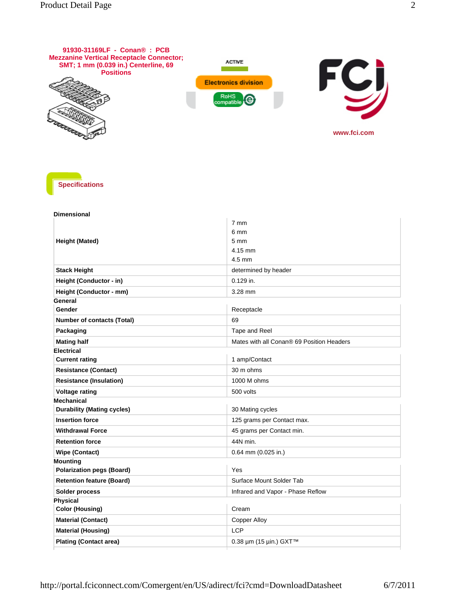